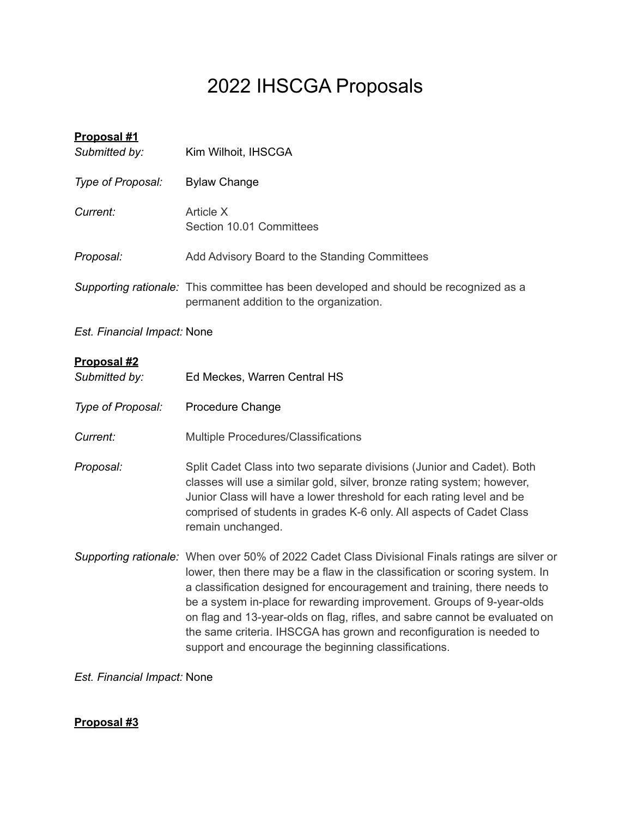# 2022 IHSCGA Proposals

| Proposal #1<br>Submitted by: | Kim Wilhoit, IHSCGA                                                                                                                                                                                                                                                                                                                                                                                                                                                                                                                               |
|------------------------------|---------------------------------------------------------------------------------------------------------------------------------------------------------------------------------------------------------------------------------------------------------------------------------------------------------------------------------------------------------------------------------------------------------------------------------------------------------------------------------------------------------------------------------------------------|
| Type of Proposal:            | <b>Bylaw Change</b>                                                                                                                                                                                                                                                                                                                                                                                                                                                                                                                               |
| Current:                     | Article X<br>Section 10.01 Committees                                                                                                                                                                                                                                                                                                                                                                                                                                                                                                             |
| Proposal:                    | Add Advisory Board to the Standing Committees                                                                                                                                                                                                                                                                                                                                                                                                                                                                                                     |
|                              | Supporting rationale: This committee has been developed and should be recognized as a<br>permanent addition to the organization.                                                                                                                                                                                                                                                                                                                                                                                                                  |
| Est. Financial Impact: None  |                                                                                                                                                                                                                                                                                                                                                                                                                                                                                                                                                   |
| Proposal #2<br>Submitted by: | Ed Meckes, Warren Central HS                                                                                                                                                                                                                                                                                                                                                                                                                                                                                                                      |
| Type of Proposal:            | Procedure Change                                                                                                                                                                                                                                                                                                                                                                                                                                                                                                                                  |
| <b>Current:</b>              | Multiple Procedures/Classifications                                                                                                                                                                                                                                                                                                                                                                                                                                                                                                               |
| Proposal:                    | Split Cadet Class into two separate divisions (Junior and Cadet). Both<br>classes will use a similar gold, silver, bronze rating system; however,<br>Junior Class will have a lower threshold for each rating level and be<br>comprised of students in grades K-6 only. All aspects of Cadet Class<br>remain unchanged.                                                                                                                                                                                                                           |
|                              | Supporting rationale: When over 50% of 2022 Cadet Class Divisional Finals ratings are silver or<br>lower, then there may be a flaw in the classification or scoring system. In<br>a classification designed for encouragement and training, there needs to<br>be a system in-place for rewarding improvement. Groups of 9-year-olds<br>on flag and 13-year-olds on flag, rifles, and sabre cannot be evaluated on<br>the same criteria. IHSCGA has grown and reconfiguration is needed to<br>support and encourage the beginning classifications. |

*Est. Financial Impact:* None

# **Proposal #3**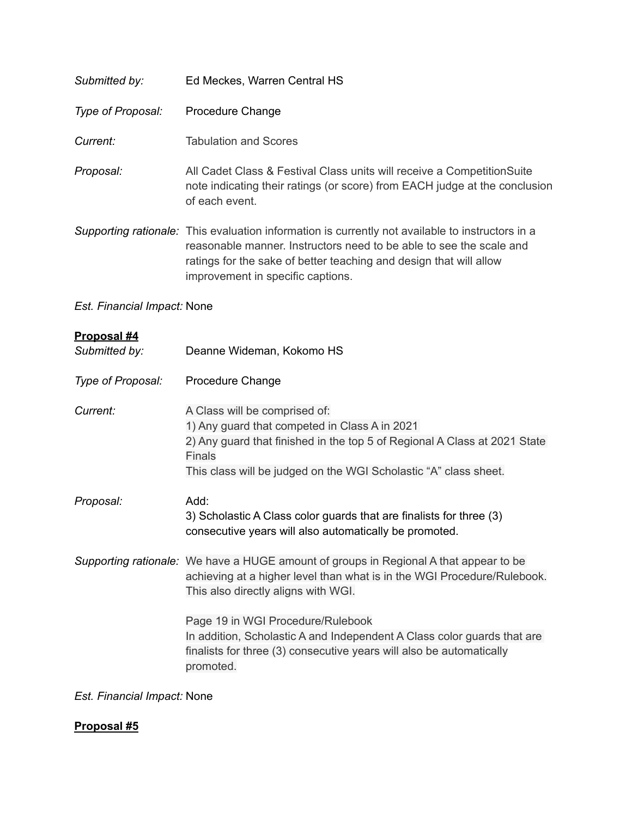| Submitted by:                | Ed Meckes, Warren Central HS                                                                                                                                                                                                                                                       |
|------------------------------|------------------------------------------------------------------------------------------------------------------------------------------------------------------------------------------------------------------------------------------------------------------------------------|
| Type of Proposal:            | Procedure Change                                                                                                                                                                                                                                                                   |
| Current:                     | <b>Tabulation and Scores</b>                                                                                                                                                                                                                                                       |
| Proposal:                    | All Cadet Class & Festival Class units will receive a Competition Suite<br>note indicating their ratings (or score) from EACH judge at the conclusion<br>of each event.                                                                                                            |
|                              | Supporting rationale: This evaluation information is currently not available to instructors in a<br>reasonable manner. Instructors need to be able to see the scale and<br>ratings for the sake of better teaching and design that will allow<br>improvement in specific captions. |
| Est. Financial Impact: None  |                                                                                                                                                                                                                                                                                    |
| Proposal #4<br>Submitted by: | Deanne Wideman, Kokomo HS                                                                                                                                                                                                                                                          |
| Type of Proposal:            | Procedure Change                                                                                                                                                                                                                                                                   |
| Current:                     | A Class will be comprised of:<br>1) Any guard that competed in Class A in 2021<br>2) Any guard that finished in the top 5 of Regional A Class at 2021 State<br><b>Finals</b><br>This class will be judged on the WGI Scholastic "A" class sheet.                                   |
| Proposal:                    | Add:<br>3) Scholastic A Class color guards that are finalists for three (3)<br>consecutive years will also automatically be promoted.                                                                                                                                              |
|                              | Supporting rationale: We have a HUGE amount of groups in Regional A that appear to be<br>achieving at a higher level than what is in the WGI Procedure/Rulebook.<br>This also directly aligns with WGI.                                                                            |
|                              | Page 19 in WGI Procedure/Rulebook<br>In addition, Scholastic A and Independent A Class color guards that are<br>finalists for three (3) consecutive years will also be automatically<br>promoted.                                                                                  |
|                              |                                                                                                                                                                                                                                                                                    |

*Est. Financial Impact:* None

# **Proposal #5**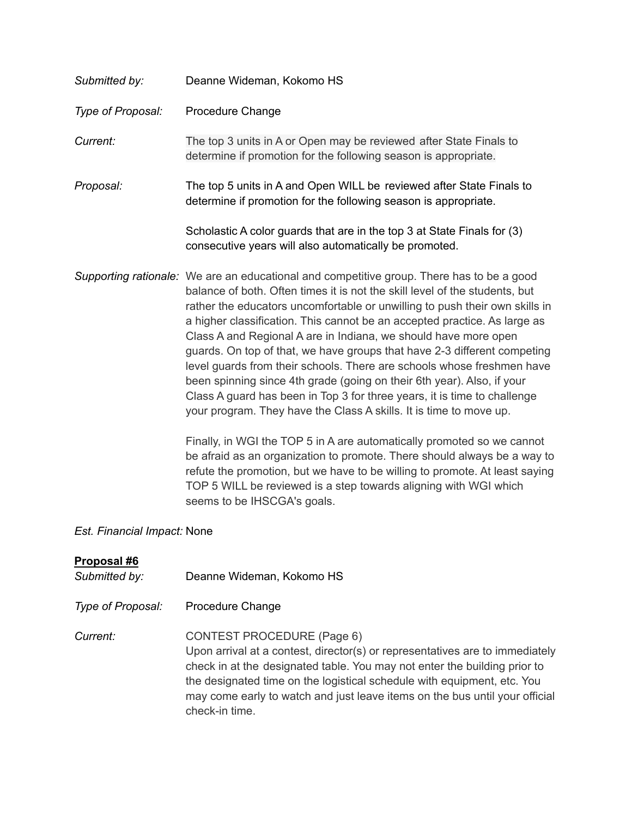| Submitted by:     | Deanne Wideman, Kokomo HS                                                                                                                                                                                                                                                                                                                                                                                                                                                                                                                                                                                                                                                                                                                                                                 |
|-------------------|-------------------------------------------------------------------------------------------------------------------------------------------------------------------------------------------------------------------------------------------------------------------------------------------------------------------------------------------------------------------------------------------------------------------------------------------------------------------------------------------------------------------------------------------------------------------------------------------------------------------------------------------------------------------------------------------------------------------------------------------------------------------------------------------|
| Type of Proposal: | Procedure Change                                                                                                                                                                                                                                                                                                                                                                                                                                                                                                                                                                                                                                                                                                                                                                          |
| Current:          | The top 3 units in A or Open may be reviewed after State Finals to<br>determine if promotion for the following season is appropriate.                                                                                                                                                                                                                                                                                                                                                                                                                                                                                                                                                                                                                                                     |
| Proposal:         | The top 5 units in A and Open WILL be reviewed after State Finals to<br>determine if promotion for the following season is appropriate.                                                                                                                                                                                                                                                                                                                                                                                                                                                                                                                                                                                                                                                   |
|                   | Scholastic A color guards that are in the top 3 at State Finals for (3)<br>consecutive years will also automatically be promoted.                                                                                                                                                                                                                                                                                                                                                                                                                                                                                                                                                                                                                                                         |
|                   | Supporting rationale: We are an educational and competitive group. There has to be a good<br>balance of both. Often times it is not the skill level of the students, but<br>rather the educators uncomfortable or unwilling to push their own skills in<br>a higher classification. This cannot be an accepted practice. As large as<br>Class A and Regional A are in Indiana, we should have more open<br>guards. On top of that, we have groups that have 2-3 different competing<br>level guards from their schools. There are schools whose freshmen have<br>been spinning since 4th grade (going on their 6th year). Also, if your<br>Class A guard has been in Top 3 for three years, it is time to challenge<br>your program. They have the Class A skills. It is time to move up. |
|                   | Finally, in WGI the TOP 5 in A are automatically promoted so we cannot<br>be afraid as an organization to promote. There should always be a way to<br>refute the promotion, but we have to be willing to promote. At least saying<br>TOP 5 WILL be reviewed is a step towards aligning with WGI which<br>seems to be IHSCGA's goals.                                                                                                                                                                                                                                                                                                                                                                                                                                                      |

# *Est. Financial Impact:* None

| Proposal #6<br>Submitted by: | Deanne Wideman, Kokomo HS                                                                                                                                                                                                                                                                                                                                                  |
|------------------------------|----------------------------------------------------------------------------------------------------------------------------------------------------------------------------------------------------------------------------------------------------------------------------------------------------------------------------------------------------------------------------|
| Type of Proposal:            | Procedure Change                                                                                                                                                                                                                                                                                                                                                           |
| Current:                     | <b>CONTEST PROCEDURE (Page 6)</b><br>Upon arrival at a contest, director(s) or representatives are to immediately<br>check in at the designated table. You may not enter the building prior to<br>the designated time on the logistical schedule with equipment, etc. You<br>may come early to watch and just leave items on the bus until your official<br>check-in time. |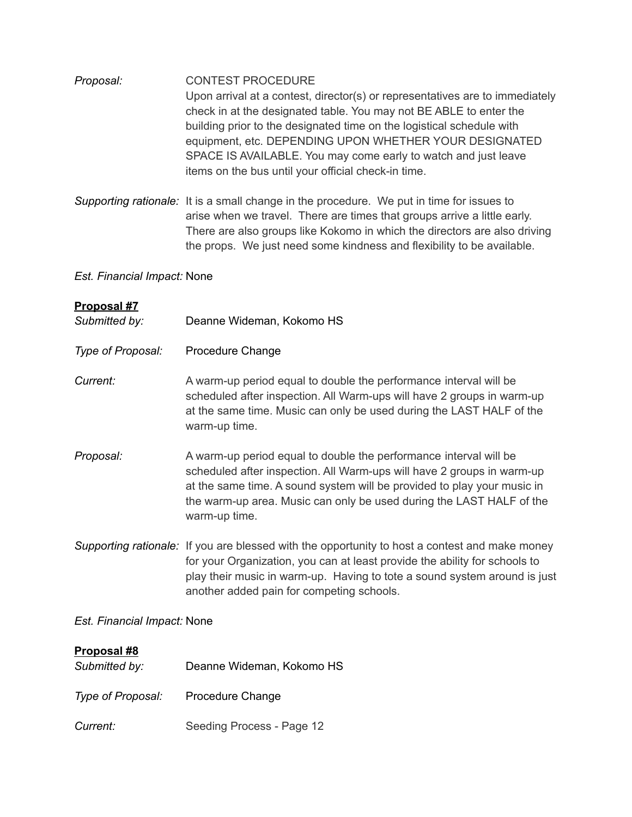| Proposal: | <b>CONTEST PROCEDURE</b>                                                     |
|-----------|------------------------------------------------------------------------------|
|           | Upon arrival at a contest, director(s) or representatives are to immediately |
|           | check in at the designated table. You may not BE ABLE to enter the           |
|           | building prior to the designated time on the logistical schedule with        |
|           | equipment, etc. DEPENDING UPON WHETHER YOUR DESIGNATED                       |
|           | SPACE IS AVAILABLE. You may come early to watch and just leave               |
|           | items on the bus until your official check-in time.                          |

*Supporting rationale:* It is a small change in the procedure. We put in time for issues to arise when we travel. There are times that groups arrive a little early. There are also groups like Kokomo in which the directors are also driving the props. We just need some kindness and flexibility to be available.

## *Est. Financial Impact:* None

| Proposal #7<br>Submitted by: | Deanne Wideman, Kokomo HS                                                                                                                                                                                                                                                                                       |  |
|------------------------------|-----------------------------------------------------------------------------------------------------------------------------------------------------------------------------------------------------------------------------------------------------------------------------------------------------------------|--|
| Type of Proposal:            | Procedure Change                                                                                                                                                                                                                                                                                                |  |
| Current:                     | A warm-up period equal to double the performance interval will be<br>scheduled after inspection. All Warm-ups will have 2 groups in warm-up<br>at the same time. Music can only be used during the LAST HALF of the<br>warm-up time.                                                                            |  |
| Proposal:                    | A warm-up period equal to double the performance interval will be<br>scheduled after inspection. All Warm-ups will have 2 groups in warm-up<br>at the same time. A sound system will be provided to play your music in<br>the warm-up area. Music can only be used during the LAST HALF of the<br>warm-up time. |  |
|                              | Supporting rationale: If you are blessed with the opportunity to host a contest and make money<br>for your Organization, you can at least provide the ability for schools to<br>play their music in warm-up. Having to tote a sound system around is just<br>another added pain for competing schools.          |  |
| Est. Financial Impact: None  |                                                                                                                                                                                                                                                                                                                 |  |
| Proposal #8<br>Submitted by: | Deanne Wideman, Kokomo HS                                                                                                                                                                                                                                                                                       |  |
| Type of Proposal:            | Procedure Change                                                                                                                                                                                                                                                                                                |  |
| Current:                     | Seeding Process - Page 12                                                                                                                                                                                                                                                                                       |  |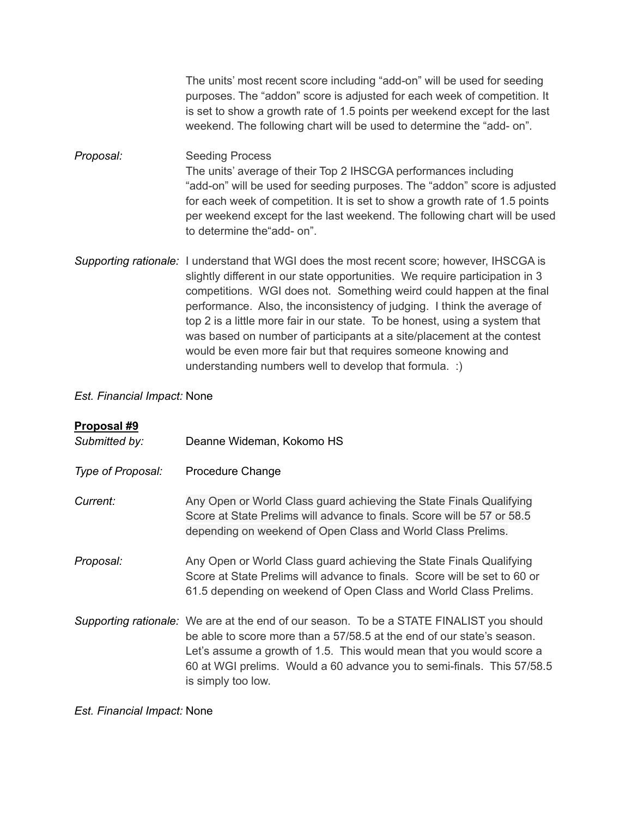The units' most recent score including "add-on" will be used for seeding purposes. The "addon" score is adjusted for each week of competition. It is set to show a growth rate of 1.5 points per weekend except for the last weekend. The following chart will be used to determine the "add- on".

*Proposal:* Seeding Process The units' average of their Top 2 IHSCGA performances including "add-on" will be used for seeding purposes. The "addon" score is adjusted for each week of competition. It is set to show a growth rate of 1.5 points per weekend except for the last weekend. The following chart will be used to determine the"add- on".

*Supporting rationale:* I understand that WGI does the most recent score; however, IHSCGA is slightly different in our state opportunities. We require participation in 3 competitions. WGI does not. Something weird could happen at the final performance. Also, the inconsistency of judging. I think the average of top 2 is a little more fair in our state. To be honest, using a system that was based on number of participants at a site/placement at the contest would be even more fair but that requires someone knowing and understanding numbers well to develop that formula. :)

#### *Est. Financial Impact:* None

| Proposal #9       |                                                                                                                                                                                                                                                                                                                                            |
|-------------------|--------------------------------------------------------------------------------------------------------------------------------------------------------------------------------------------------------------------------------------------------------------------------------------------------------------------------------------------|
| Submitted by:     | Deanne Wideman, Kokomo HS                                                                                                                                                                                                                                                                                                                  |
| Type of Proposal: | Procedure Change                                                                                                                                                                                                                                                                                                                           |
| Current:          | Any Open or World Class guard achieving the State Finals Qualifying<br>Score at State Prelims will advance to finals. Score will be 57 or 58.5<br>depending on weekend of Open Class and World Class Prelims.                                                                                                                              |
| Proposal:         | Any Open or World Class guard achieving the State Finals Qualifying<br>Score at State Prelims will advance to finals. Score will be set to 60 or<br>61.5 depending on weekend of Open Class and World Class Prelims.                                                                                                                       |
|                   | Supporting rationale: We are at the end of our season. To be a STATE FINALIST you should<br>be able to score more than a 57/58.5 at the end of our state's season.<br>Let's assume a growth of 1.5. This would mean that you would score a<br>60 at WGI prelims. Would a 60 advance you to semi-finals. This 57/58.5<br>is simply too low. |

#### *Est. Financial Impact:* None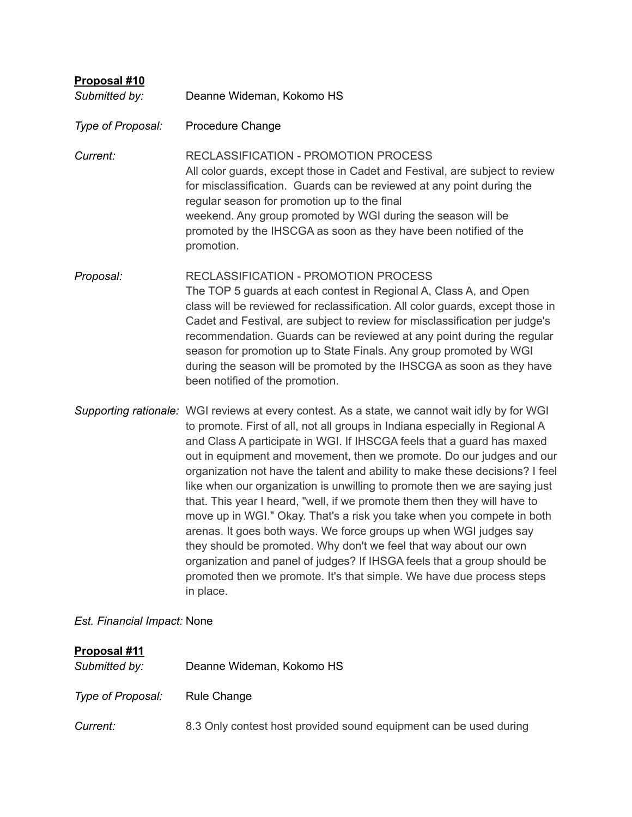| Proposal #10<br>Submitted by: | Deanne Wideman, Kokomo HS                                                                                                                                                                                                                                                                                                                                                                                                                                                                                                                                                                                                                                                                                                                                                                                                                                                                                                                                         |
|-------------------------------|-------------------------------------------------------------------------------------------------------------------------------------------------------------------------------------------------------------------------------------------------------------------------------------------------------------------------------------------------------------------------------------------------------------------------------------------------------------------------------------------------------------------------------------------------------------------------------------------------------------------------------------------------------------------------------------------------------------------------------------------------------------------------------------------------------------------------------------------------------------------------------------------------------------------------------------------------------------------|
| Type of Proposal:             | Procedure Change                                                                                                                                                                                                                                                                                                                                                                                                                                                                                                                                                                                                                                                                                                                                                                                                                                                                                                                                                  |
| Current:                      | <b>RECLASSIFICATION - PROMOTION PROCESS</b><br>All color guards, except those in Cadet and Festival, are subject to review<br>for misclassification. Guards can be reviewed at any point during the<br>regular season for promotion up to the final<br>weekend. Any group promoted by WGI during the season will be<br>promoted by the IHSCGA as soon as they have been notified of the<br>promotion.                                                                                                                                                                                                                                                                                                                                                                                                                                                                                                                                                             |
| Proposal:                     | <b>RECLASSIFICATION - PROMOTION PROCESS</b><br>The TOP 5 guards at each contest in Regional A, Class A, and Open<br>class will be reviewed for reclassification. All color guards, except those in<br>Cadet and Festival, are subject to review for misclassification per judge's<br>recommendation. Guards can be reviewed at any point during the regular<br>season for promotion up to State Finals. Any group promoted by WGI<br>during the season will be promoted by the IHSCGA as soon as they have<br>been notified of the promotion.                                                                                                                                                                                                                                                                                                                                                                                                                     |
|                               | Supporting rationale: WGI reviews at every contest. As a state, we cannot wait idly by for WGI<br>to promote. First of all, not all groups in Indiana especially in Regional A<br>and Class A participate in WGI. If IHSCGA feels that a guard has maxed<br>out in equipment and movement, then we promote. Do our judges and our<br>organization not have the talent and ability to make these decisions? I feel<br>like when our organization is unwilling to promote then we are saying just<br>that. This year I heard, "well, if we promote them then they will have to<br>move up in WGI." Okay. That's a risk you take when you compete in both<br>arenas. It goes both ways. We force groups up when WGI judges say<br>they should be promoted. Why don't we feel that way about our own<br>organization and panel of judges? If IHSGA feels that a group should be<br>promoted then we promote. It's that simple. We have due process steps<br>in place. |
| Est. Financial Impact: None   |                                                                                                                                                                                                                                                                                                                                                                                                                                                                                                                                                                                                                                                                                                                                                                                                                                                                                                                                                                   |
| Proposal #11                  |                                                                                                                                                                                                                                                                                                                                                                                                                                                                                                                                                                                                                                                                                                                                                                                                                                                                                                                                                                   |

| Submitted by:     | Deanne Wideman, Kokomo HS                                         |
|-------------------|-------------------------------------------------------------------|
| Type of Proposal: | Rule Change                                                       |
| <i>Current:</i>   | 8.3 Only contest host provided sound equipment can be used during |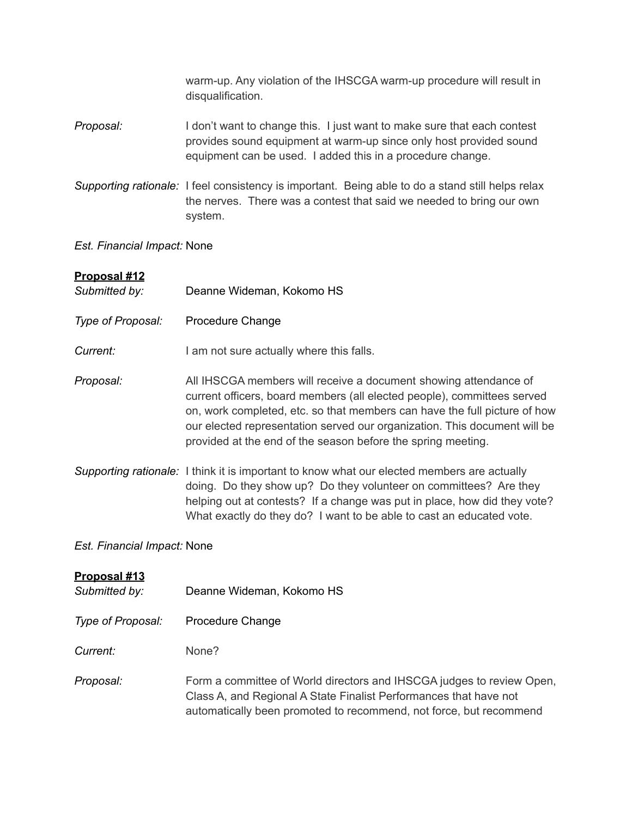warm-up. Any violation of the IHSCGA warm-up procedure will result in disqualification.

- *Proposal:* I don't want to change this. I just want to make sure that each contest provides sound equipment at warm-up since only host provided sound equipment can be used. I added this in a procedure change.
- *Supporting rationale:* I feel consistency is important. Being able to do a stand still helps relax the nerves. There was a contest that said we needed to bring our own system.

#### *Est. Financial Impact:* None

#### **Proposal #12**

| Submitted by:     | Deanne Wideman, Kokomo HS                                                                                                                                                                                                                                                                                                                                             |
|-------------------|-----------------------------------------------------------------------------------------------------------------------------------------------------------------------------------------------------------------------------------------------------------------------------------------------------------------------------------------------------------------------|
| Type of Proposal: | Procedure Change                                                                                                                                                                                                                                                                                                                                                      |
| Current:          | I am not sure actually where this falls.                                                                                                                                                                                                                                                                                                                              |
| Proposal:         | All IHSCGA members will receive a document showing attendance of<br>current officers, board members (all elected people), committees served<br>on, work completed, etc. so that members can have the full picture of how<br>our elected representation served our organization. This document will be<br>provided at the end of the season before the spring meeting. |
|                   | Supporting rationale: I think it is important to know what our elected members are actually<br>doing. Do they show up? Do they volunteer on committees? Are they<br>helping out at contests? If a change was put in place, how did they vote?<br>What exactly do they do? I want to be able to cast an educated vote.                                                 |

#### *Est. Financial Impact:* None

#### **Proposal #13**

- *Submitted by:* Deanne Wideman, Kokomo HS
- *Type of Proposal:* Procedure Change

*Current:* None?

*Proposal:* Form a committee of World directors and IHSCGA judges to review Open, Class A, and Regional A State Finalist Performances that have not automatically been promoted to recommend, not force, but recommend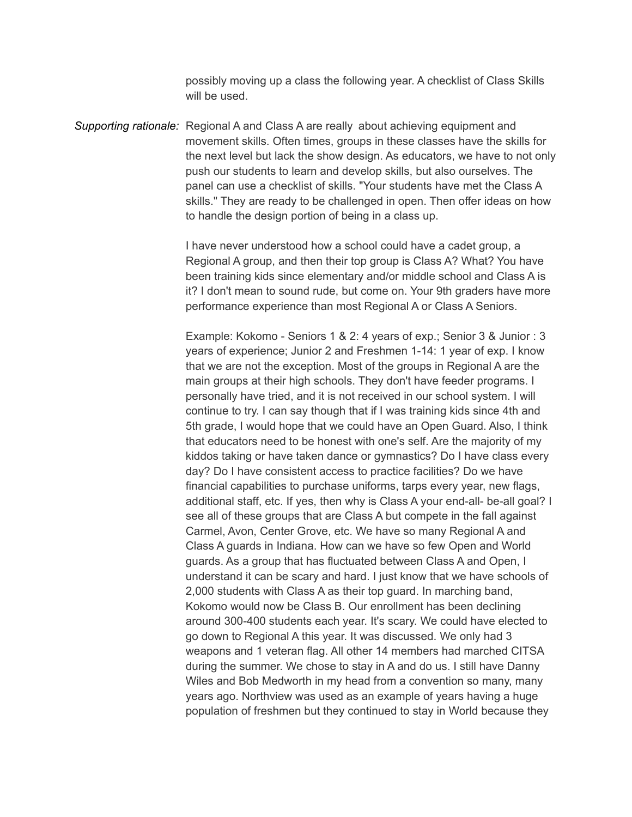possibly moving up a class the following year. A checklist of Class Skills will be used.

*Supporting rationale:* Regional A and Class A are really about achieving equipment and movement skills. Often times, groups in these classes have the skills for the next level but lack the show design. As educators, we have to not only push our students to learn and develop skills, but also ourselves. The panel can use a checklist of skills. "Your students have met the Class A skills." They are ready to be challenged in open. Then offer ideas on how to handle the design portion of being in a class up.

> I have never understood how a school could have a cadet group, a Regional A group, and then their top group is Class A? What? You have been training kids since elementary and/or middle school and Class A is it? I don't mean to sound rude, but come on. Your 9th graders have more performance experience than most Regional A or Class A Seniors.

> Example: Kokomo - Seniors 1 & 2: 4 years of exp.; Senior 3 & Junior : 3 years of experience; Junior 2 and Freshmen 1-14: 1 year of exp. I know that we are not the exception. Most of the groups in Regional A are the main groups at their high schools. They don't have feeder programs. I personally have tried, and it is not received in our school system. I will continue to try. I can say though that if I was training kids since 4th and 5th grade, I would hope that we could have an Open Guard. Also, I think that educators need to be honest with one's self. Are the majority of my kiddos taking or have taken dance or gymnastics? Do I have class every day? Do I have consistent access to practice facilities? Do we have financial capabilities to purchase uniforms, tarps every year, new flags, additional staff, etc. If yes, then why is Class A your end-all- be-all goal? I see all of these groups that are Class A but compete in the fall against Carmel, Avon, Center Grove, etc. We have so many Regional A and Class A guards in Indiana. How can we have so few Open and World guards. As a group that has fluctuated between Class A and Open, I understand it can be scary and hard. I just know that we have schools of 2,000 students with Class A as their top guard. In marching band, Kokomo would now be Class B. Our enrollment has been declining around 300-400 students each year. It's scary. We could have elected to go down to Regional A this year. It was discussed. We only had 3 weapons and 1 veteran flag. All other 14 members had marched CITSA during the summer. We chose to stay in A and do us. I still have Danny Wiles and Bob Medworth in my head from a convention so many, many years ago. Northview was used as an example of years having a huge population of freshmen but they continued to stay in World because they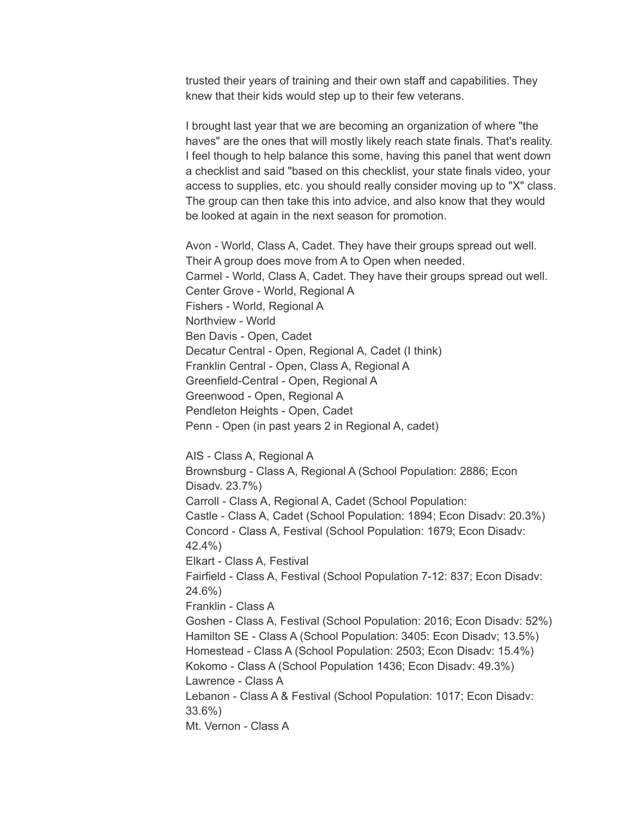trusted their years of training and their own staff and capabilities. They knew that their kids would step up to their few veterans.

I brought last year that we are becoming an organization of where "the haves" are the ones that will mostly likely reach state finals. That's reality. I feel though to help balance this some, having this panel that went down a checklist and said "based on this checklist, your state finals video, your access to supplies, etc. you should really consider moving up to "X" class. The group can then take this into advice, and also know that they would be looked at again in the next season for promotion.

Avon - World, Class A, Cadet. They have their groups spread out well. Their A group does move from A to Open when needed. Carmel - World, Class A, Cadet. They have their groups spread out well. Center Grove - World, Regional A Fishers - World, Regional A Northview - World Ben Davis - Open, Cadet Decatur Central - Open, Regional A, Cadet (I think) Franklin Central - Open, Class A, Regional A Greenfield-Central - Open, Regional A Greenwood - Open, Regional A Pendleton Heights - Open, Cadet Penn - Open (in past years 2 in Regional A, cadet)

AIS - Class A, Regional A Brownsburg - Class A, Regional A (School Population: 2886; Econ Disadv. 23.7%) Carroll - Class A, Regional A, Cadet (School Population: Castle - Class A, Cadet (School Population: 1894; Econ Disadv: 20.3%) Concord - Class A, Festival (School Population: 1679; Econ Disadv: 42.4%) Elkart - Class A, Festival Fairfield - Class A, Festival (School Population 7-12: 837; Econ Disadv: 24.6%) Franklin - Class A Goshen - Class A, Festival (School Population: 2016; Econ Disadv: 52%) Hamilton SE - Class A (School Population: 3405: Econ Disadv; 13.5%) Homestead - Class A (School Population: 2503; Econ Disadv: 15.4%) Kokomo - Class A (School Population 1436; Econ Disadv: 49.3%) Lawrence - Class A Lebanon - Class A & Festival (School Population: 1017; Econ Disadv: 33.6%) Mt. Vernon - Class A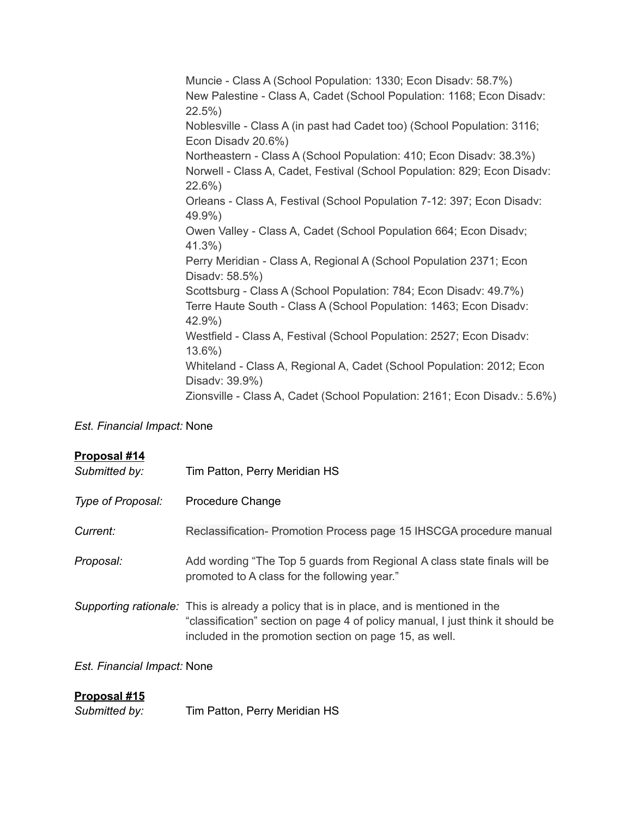Muncie - Class A (School Population: 1330; Econ Disadv: 58.7%) New Palestine - Class A, Cadet (School Population: 1168; Econ Disadv: 22.5%) Noblesville - Class A (in past had Cadet too) (School Population: 3116; Econ Disadv 20.6%) Northeastern - Class A (School Population: 410; Econ Disadv: 38.3%) Norwell - Class A, Cadet, Festival (School Population: 829; Econ Disadv: 22.6%) Orleans - Class A, Festival (School Population 7-12: 397; Econ Disadv: 49.9%) Owen Valley - Class A, Cadet (School Population 664; Econ Disadv; 41.3%) Perry Meridian - Class A, Regional A (School Population 2371; Econ Disadv: 58.5%) Scottsburg - Class A (School Population: 784; Econ Disadv: 49.7%) Terre Haute South - Class A (School Population: 1463; Econ Disadv: 42.9%) Westfield - Class A, Festival (School Population: 2527; Econ Disadv: 13.6%) Whiteland - Class A, Regional A, Cadet (School Population: 2012; Econ Disadv: 39.9%) Zionsville - Class A, Cadet (School Population: 2161; Econ Disadv.: 5.6%)

#### *Est. Financial Impact:* None

#### **Proposal #14**

| Submitted by:     | Tim Patton, Perry Meridian HS                                                                                                                                                                                                        |
|-------------------|--------------------------------------------------------------------------------------------------------------------------------------------------------------------------------------------------------------------------------------|
| Type of Proposal: | <b>Procedure Change</b>                                                                                                                                                                                                              |
| Current:          | Reclassification- Promotion Process page 15 IHSCGA procedure manual                                                                                                                                                                  |
| Proposal:         | Add wording "The Top 5 guards from Regional A class state finals will be<br>promoted to A class for the following year."                                                                                                             |
|                   | Supporting rationale: This is already a policy that is in place, and is mentioned in the<br>"classification" section on page 4 of policy manual, I just think it should be<br>included in the promotion section on page 15, as well. |

#### *Est. Financial Impact:* None

## **Proposal #15**

*Submitted by:* Tim Patton, Perry Meridian HS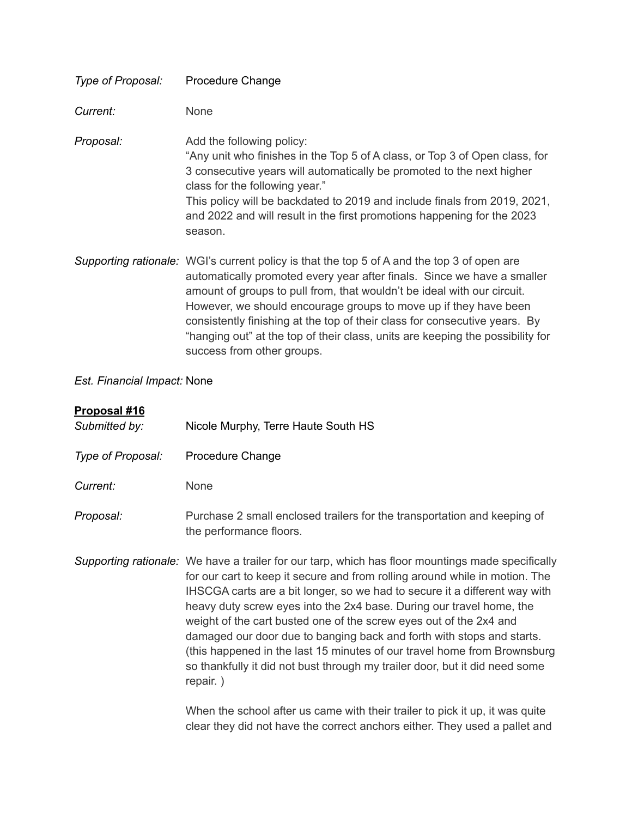| Type of Proposal: | Procedure Change                                                                                                                                                                                                                                                                                                                                                                                    |
|-------------------|-----------------------------------------------------------------------------------------------------------------------------------------------------------------------------------------------------------------------------------------------------------------------------------------------------------------------------------------------------------------------------------------------------|
| Current:          | None                                                                                                                                                                                                                                                                                                                                                                                                |
| Proposal:         | Add the following policy:<br>"Any unit who finishes in the Top 5 of A class, or Top 3 of Open class, for<br>3 consecutive years will automatically be promoted to the next higher<br>class for the following year."<br>This policy will be backdated to 2019 and include finals from 2019, 2021,<br>and 2022 and will result in the first promotions happening for the 2023<br>season.              |
|                   | Supporting rationale: WGI's current policy is that the top 5 of A and the top 3 of open are<br>automatically promoted every year after finals. Since we have a smaller<br>amount of groups to pull from, that wouldn't be ideal with our circuit.<br>However, we should encourage groups to move up if they have been<br>consistently finishing at the top of their class for consecutive years. By |

success from other groups.

### *Est. Financial Impact:* None

## **Proposal #16**

| <u>і і орозиг і і о</u><br>Submitted by: | Nicole Murphy, Terre Haute South HS                                                                                                                                                                                                                                                                                                                                                                                                                                                                                                                                                                                                                          |
|------------------------------------------|--------------------------------------------------------------------------------------------------------------------------------------------------------------------------------------------------------------------------------------------------------------------------------------------------------------------------------------------------------------------------------------------------------------------------------------------------------------------------------------------------------------------------------------------------------------------------------------------------------------------------------------------------------------|
| Type of Proposal:                        | Procedure Change                                                                                                                                                                                                                                                                                                                                                                                                                                                                                                                                                                                                                                             |
| Current:                                 | <b>None</b>                                                                                                                                                                                                                                                                                                                                                                                                                                                                                                                                                                                                                                                  |
| Proposal:                                | Purchase 2 small enclosed trailers for the transportation and keeping of<br>the performance floors.                                                                                                                                                                                                                                                                                                                                                                                                                                                                                                                                                          |
|                                          | Supporting rationale: We have a trailer for our tarp, which has floor mountings made specifically<br>for our cart to keep it secure and from rolling around while in motion. The<br>IHSCGA carts are a bit longer, so we had to secure it a different way with<br>heavy duty screw eyes into the 2x4 base. During our travel home, the<br>weight of the cart busted one of the screw eyes out of the 2x4 and<br>damaged our door due to banging back and forth with stops and starts.<br>(this happened in the last 15 minutes of our travel home from Brownsburg<br>so thankfully it did not bust through my trailer door, but it did need some<br>repair.) |

When the school after us came with their trailer to pick it up, it was quite clear they did not have the correct anchors either. They used a pallet and

"hanging out" at the top of their class, units are keeping the possibility for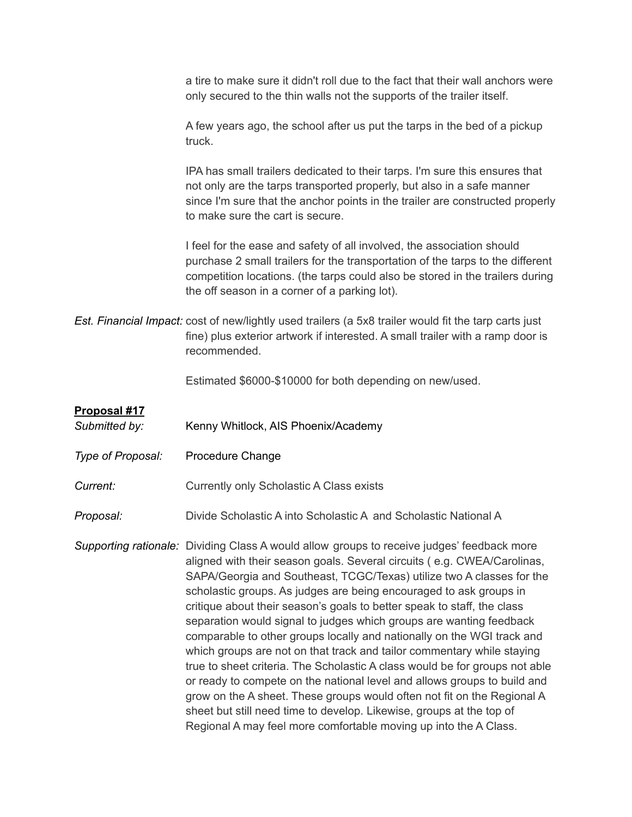a tire to make sure it didn't roll due to the fact that their wall anchors were only secured to the thin walls not the supports of the trailer itself.

A few years ago, the school after us put the tarps in the bed of a pickup truck.

IPA has small trailers dedicated to their tarps. I'm sure this ensures that not only are the tarps transported properly, but also in a safe manner since I'm sure that the anchor points in the trailer are constructed properly to make sure the cart is secure.

I feel for the ease and safety of all involved, the association should purchase 2 small trailers for the transportation of the tarps to the different competition locations. (the tarps could also be stored in the trailers during the off season in a corner of a parking lot).

*Est. Financial Impact:* cost of new/lightly used trailers (a 5x8 trailer would fit the tarp carts just fine) plus exterior artwork if interested. A small trailer with a ramp door is recommended.

Estimated \$6000-\$10000 for both depending on new/used.

#### **Proposal #17**

- Submitted by: Kenny Whitlock, AIS Phoenix/Academy
- *Type of Proposal:* Procedure Change

**Current:** Currently only Scholastic A Class exists

*Proposal:* Divide Scholastic A into Scholastic A and Scholastic National A

*Supporting rationale:* Dividing Class A would allow groups to receive judges' feedback more aligned with their season goals. Several circuits ( e.g. CWEA/Carolinas, SAPA/Georgia and Southeast, TCGC/Texas) utilize two A classes for the scholastic groups. As judges are being encouraged to ask groups in critique about their season's goals to better speak to staff, the class separation would signal to judges which groups are wanting feedback comparable to other groups locally and nationally on the WGI track and which groups are not on that track and tailor commentary while staying true to sheet criteria. The Scholastic A class would be for groups not able or ready to compete on the national level and allows groups to build and grow on the A sheet. These groups would often not fit on the Regional A sheet but still need time to develop. Likewise, groups at the top of Regional A may feel more comfortable moving up into the A Class.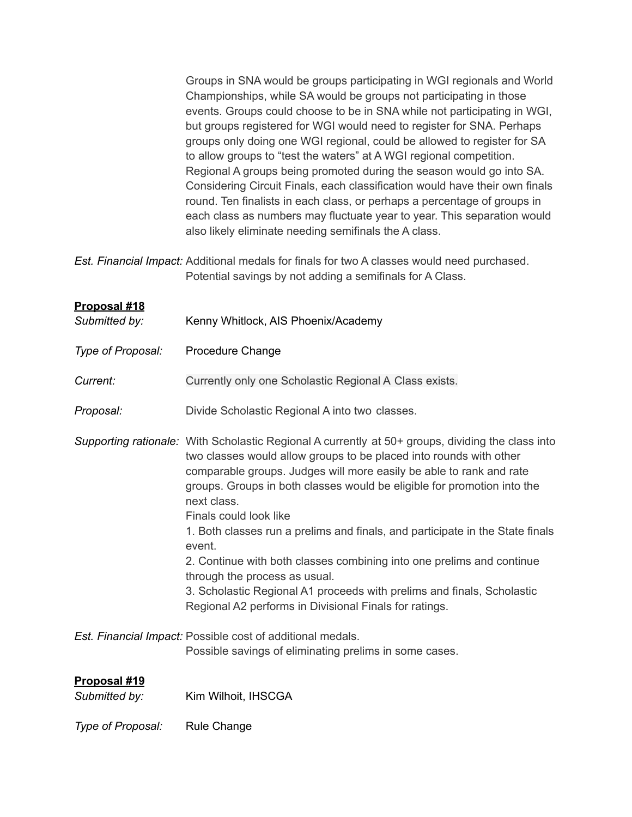| Groups in SNA would be groups participating in WGI regionals and World      |
|-----------------------------------------------------------------------------|
| Championships, while SA would be groups not participating in those          |
| events. Groups could choose to be in SNA while not participating in WGI,    |
| but groups registered for WGI would need to register for SNA. Perhaps       |
| groups only doing one WGI regional, could be allowed to register for SA     |
| to allow groups to "test the waters" at A WGI regional competition.         |
| Regional A groups being promoted during the season would go into SA.        |
| Considering Circuit Finals, each classification would have their own finals |
| round. Ten finalists in each class, or perhaps a percentage of groups in    |
| each class as numbers may fluctuate year to year. This separation would     |
| also likely eliminate needing semifinals the A class.                       |

*Est. Financial Impact:* Additional medals for finals for two A classes would need purchased. Potential savings by not adding a semifinals for A Class.

| <b>Proposal #18</b><br>Submitted by: | Kenny Whitlock, AIS Phoenix/Academy                                                                                                                                                                                                                                                                                                                                                                                                                                                                                                                                                                                                                                                                         |
|--------------------------------------|-------------------------------------------------------------------------------------------------------------------------------------------------------------------------------------------------------------------------------------------------------------------------------------------------------------------------------------------------------------------------------------------------------------------------------------------------------------------------------------------------------------------------------------------------------------------------------------------------------------------------------------------------------------------------------------------------------------|
| Type of Proposal:                    | Procedure Change                                                                                                                                                                                                                                                                                                                                                                                                                                                                                                                                                                                                                                                                                            |
| Current:                             | Currently only one Scholastic Regional A Class exists.                                                                                                                                                                                                                                                                                                                                                                                                                                                                                                                                                                                                                                                      |
| Proposal:                            | Divide Scholastic Regional A into two classes.                                                                                                                                                                                                                                                                                                                                                                                                                                                                                                                                                                                                                                                              |
|                                      | Supporting rationale: With Scholastic Regional A currently at 50+ groups, dividing the class into<br>two classes would allow groups to be placed into rounds with other<br>comparable groups. Judges will more easily be able to rank and rate<br>groups. Groups in both classes would be eligible for promotion into the<br>next class.<br>Finals could look like<br>1. Both classes run a prelims and finals, and participate in the State finals<br>event.<br>2. Continue with both classes combining into one prelims and continue<br>through the process as usual.<br>3. Scholastic Regional A1 proceeds with prelims and finals, Scholastic<br>Regional A2 performs in Divisional Finals for ratings. |
|                                      | Est. Financial Impact: Possible cost of additional medals.<br>Possible savings of eliminating prelims in some cases.                                                                                                                                                                                                                                                                                                                                                                                                                                                                                                                                                                                        |
| Proposal #19<br>Submitted by:        | Kim Wilhoit, IHSCGA                                                                                                                                                                                                                                                                                                                                                                                                                                                                                                                                                                                                                                                                                         |

*Type of Proposal:* Rule Change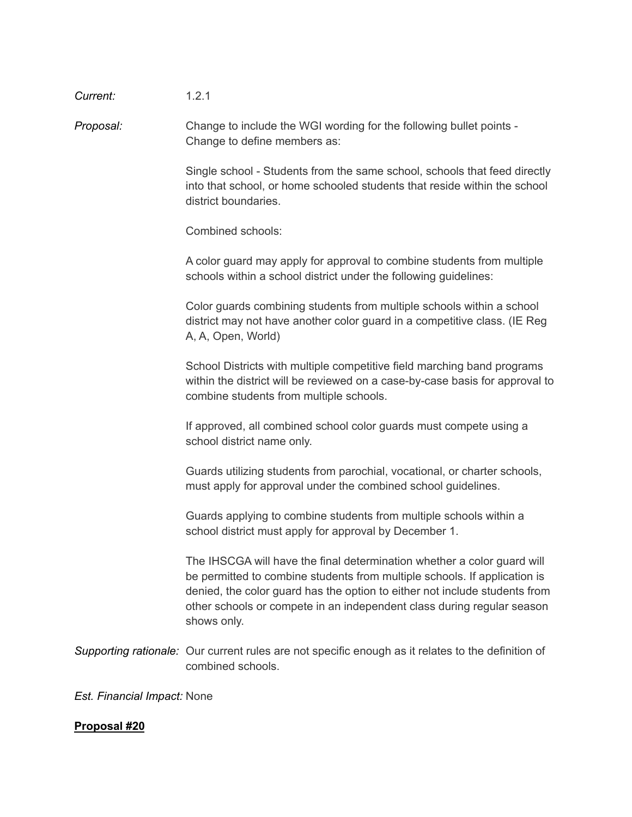| Current:                    | 1.2.1                                                                                                                                                                                                                                                                                                                       |
|-----------------------------|-----------------------------------------------------------------------------------------------------------------------------------------------------------------------------------------------------------------------------------------------------------------------------------------------------------------------------|
| Proposal:                   | Change to include the WGI wording for the following bullet points -<br>Change to define members as:                                                                                                                                                                                                                         |
|                             | Single school - Students from the same school, schools that feed directly<br>into that school, or home schooled students that reside within the school<br>district boundaries.                                                                                                                                              |
|                             | Combined schools:                                                                                                                                                                                                                                                                                                           |
|                             | A color guard may apply for approval to combine students from multiple<br>schools within a school district under the following guidelines:                                                                                                                                                                                  |
|                             | Color guards combining students from multiple schools within a school<br>district may not have another color guard in a competitive class. (IE Reg<br>A, A, Open, World)                                                                                                                                                    |
|                             | School Districts with multiple competitive field marching band programs<br>within the district will be reviewed on a case-by-case basis for approval to<br>combine students from multiple schools.                                                                                                                          |
|                             | If approved, all combined school color guards must compete using a<br>school district name only.                                                                                                                                                                                                                            |
|                             | Guards utilizing students from parochial, vocational, or charter schools,<br>must apply for approval under the combined school guidelines.                                                                                                                                                                                  |
|                             | Guards applying to combine students from multiple schools within a<br>school district must apply for approval by December 1.                                                                                                                                                                                                |
|                             | The IHSCGA will have the final determination whether a color guard will<br>be permitted to combine students from multiple schools. If application is<br>denied, the color guard has the option to either not include students from<br>other schools or compete in an independent class during regular season<br>shows only. |
|                             | Supporting rationale: Our current rules are not specific enough as it relates to the definition of<br>combined schools.                                                                                                                                                                                                     |
| Est. Financial Impact: None |                                                                                                                                                                                                                                                                                                                             |

## **Proposal #20**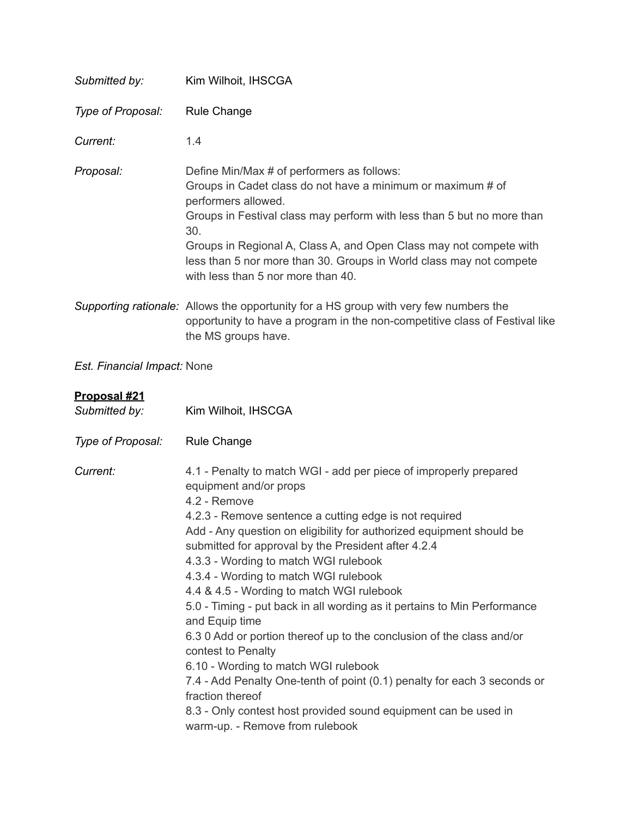| Submitted by:                 | Kim Wilhoit, IHSCGA                                                                                                                                                                                                                                                                                                                                                                                                                                                                                                                                                                                                                                                                                                                                                                                                                                                            |
|-------------------------------|--------------------------------------------------------------------------------------------------------------------------------------------------------------------------------------------------------------------------------------------------------------------------------------------------------------------------------------------------------------------------------------------------------------------------------------------------------------------------------------------------------------------------------------------------------------------------------------------------------------------------------------------------------------------------------------------------------------------------------------------------------------------------------------------------------------------------------------------------------------------------------|
| Type of Proposal:             | Rule Change                                                                                                                                                                                                                                                                                                                                                                                                                                                                                                                                                                                                                                                                                                                                                                                                                                                                    |
| Current:                      | 1.4                                                                                                                                                                                                                                                                                                                                                                                                                                                                                                                                                                                                                                                                                                                                                                                                                                                                            |
| Proposal:                     | Define Min/Max # of performers as follows:<br>Groups in Cadet class do not have a minimum or maximum # of<br>performers allowed.<br>Groups in Festival class may perform with less than 5 but no more than<br>30.<br>Groups in Regional A, Class A, and Open Class may not compete with<br>less than 5 nor more than 30. Groups in World class may not compete<br>with less than 5 nor more than 40.                                                                                                                                                                                                                                                                                                                                                                                                                                                                           |
|                               | Supporting rationale: Allows the opportunity for a HS group with very few numbers the<br>opportunity to have a program in the non-competitive class of Festival like<br>the MS groups have.                                                                                                                                                                                                                                                                                                                                                                                                                                                                                                                                                                                                                                                                                    |
| Est. Financial Impact: None   |                                                                                                                                                                                                                                                                                                                                                                                                                                                                                                                                                                                                                                                                                                                                                                                                                                                                                |
| Proposal #21<br>Submitted by: | Kim Wilhoit, IHSCGA                                                                                                                                                                                                                                                                                                                                                                                                                                                                                                                                                                                                                                                                                                                                                                                                                                                            |
| Type of Proposal:             | <b>Rule Change</b>                                                                                                                                                                                                                                                                                                                                                                                                                                                                                                                                                                                                                                                                                                                                                                                                                                                             |
| Current:                      | 4.1 - Penalty to match WGI - add per piece of improperly prepared<br>equipment and/or props<br>4.2 - Remove<br>4.2.3 - Remove sentence a cutting edge is not required<br>Add - Any question on eligibility for authorized equipment should be<br>submitted for approval by the President after 4.2.4<br>4.3.3 - Wording to match WGI rulebook<br>4.3.4 - Wording to match WGI rulebook<br>4.4 & 4.5 - Wording to match WGI rulebook<br>5.0 - Timing - put back in all wording as it pertains to Min Performance<br>and Equip time<br>6.3 0 Add or portion thereof up to the conclusion of the class and/or<br>contest to Penalty<br>6.10 - Wording to match WGI rulebook<br>7.4 - Add Penalty One-tenth of point (0.1) penalty for each 3 seconds or<br>fraction thereof<br>8.3 - Only contest host provided sound equipment can be used in<br>warm-up. - Remove from rulebook |